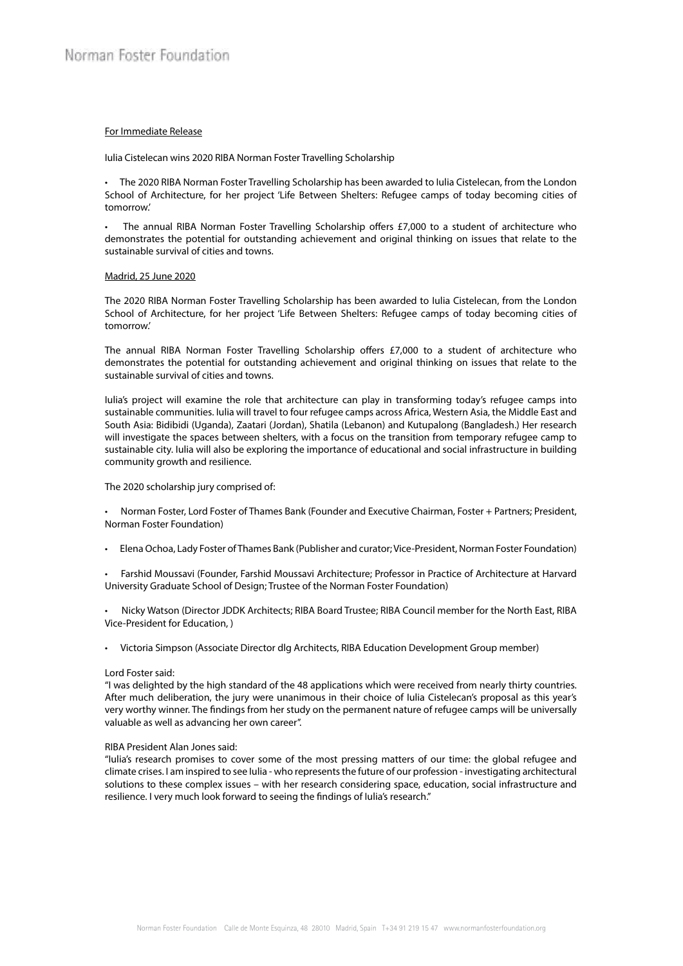## For Immediate Release

Iulia Cistelecan wins 2020 RIBA Norman Foster Travelling Scholarship

• The 2020 RIBA Norman Foster Travelling Scholarship has been awarded to Iulia Cistelecan, from the London School of Architecture, for her project 'Life Between Shelters: Refugee camps of today becoming cities of tomorrow.'

The annual RIBA Norman Foster Travelling Scholarship offers £7,000 to a student of architecture who demonstrates the potential for outstanding achievement and original thinking on issues that relate to the sustainable survival of cities and towns.

#### Madrid, 25 June 2020

The 2020 RIBA Norman Foster Travelling Scholarship has been awarded to Iulia Cistelecan, from the London School of Architecture, for her project 'Life Between Shelters: Refugee camps of today becoming cities of tomorrow.'

The annual RIBA Norman Foster Travelling Scholarship offers £7,000 to a student of architecture who demonstrates the potential for outstanding achievement and original thinking on issues that relate to the sustainable survival of cities and towns.

Iulia's project will examine the role that architecture can play in transforming today's refugee camps into sustainable communities. Iulia will travel to four refugee camps across Africa, Western Asia, the Middle East and South Asia: Bidibidi (Uganda), Zaatari (Jordan), Shatila (Lebanon) and Kutupalong (Bangladesh.) Her research will investigate the spaces between shelters, with a focus on the transition from temporary refugee camp to sustainable city. Iulia will also be exploring the importance of educational and social infrastructure in building community growth and resilience.

The 2020 scholarship jury comprised of:

• Norman Foster, Lord Foster of Thames Bank (Founder and Executive Chairman, Foster + Partners; President, Norman Foster Foundation)

- Elena Ochoa, Lady Foster of Thames Bank (Publisher and curator; Vice-President, Norman Foster Foundation)
- Farshid Moussavi (Founder, Farshid Moussavi Architecture; Professor in Practice of Architecture at Harvard University Graduate School of Design; Trustee of the Norman Foster Foundation)
- Nicky Watson (Director JDDK Architects; RIBA Board Trustee; RIBA Council member for the North East, RIBA Vice-President for Education, )
- Victoria Simpson (Associate Director dlg Architects, RIBA Education Development Group member)

#### Lord Foster said:

"I was delighted by the high standard of the 48 applications which were received from nearly thirty countries. After much deliberation, the jury were unanimous in their choice of Iulia Cistelecan's proposal as this year's very worthy winner. The findings from her study on the permanent nature of refugee camps will be universally valuable as well as advancing her own career".

### RIBA President Alan Jones said:

"Iulia's research promises to cover some of the most pressing matters of our time: the global refugee and climate crises. I am inspired to see Iulia - who represents the future of our profession - investigating architectural solutions to these complex issues – with her research considering space, education, social infrastructure and resilience. I very much look forward to seeing the findings of Iulia's research."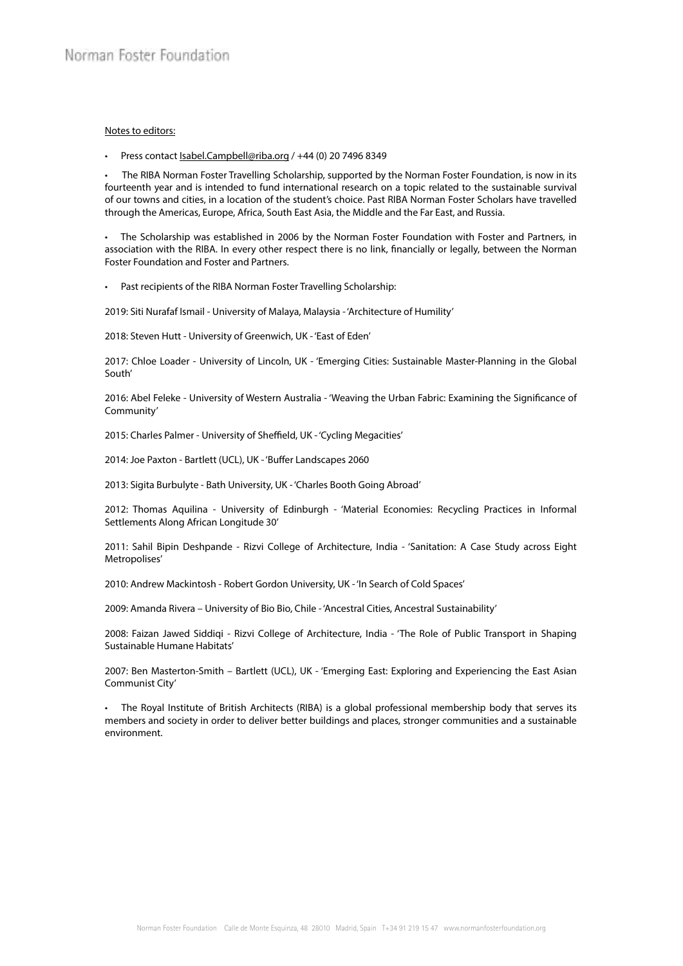# Notes to editors:

• Press contact *Isabel.Campbell@riba.org* / +44 (0) 20 7496 8349

• The RIBA Norman Foster Travelling Scholarship, supported by the Norman Foster Foundation, is now in its fourteenth year and is intended to fund international research on a topic related to the sustainable survival of our towns and cities, in a location of the student's choice. Past RIBA Norman Foster Scholars have travelled through the Americas, Europe, Africa, South East Asia, the Middle and the Far East, and Russia.

• The Scholarship was established in 2006 by the Norman Foster Foundation with Foster and Partners, in association with the RIBA. In every other respect there is no link, financially or legally, between the Norman Foster Foundation and Foster and Partners.

• Past recipients of the RIBA Norman Foster Travelling Scholarship:

2019: Siti Nurafaf Ismail - University of Malaya, Malaysia - 'Architecture of Humility'

2018: Steven Hutt - University of Greenwich, UK - 'East of Eden'

2017: Chloe Loader - University of Lincoln, UK - 'Emerging Cities: Sustainable Master-Planning in the Global South'

2016: Abel Feleke - University of Western Australia - 'Weaving the Urban Fabric: Examining the Significance of Community'

2015: Charles Palmer - University of Sheffield, UK - 'Cycling Megacities'

2014: Joe Paxton - Bartlett (UCL), UK - 'Buffer Landscapes 2060

2013: Sigita Burbulyte - Bath University, UK - 'Charles Booth Going Abroad'

2012: Thomas Aquilina - University of Edinburgh - 'Material Economies: Recycling Practices in Informal Settlements Along African Longitude 30'

2011: Sahil Bipin Deshpande - Rizvi College of Architecture, India - 'Sanitation: A Case Study across Eight Metropolises'

2010: Andrew Mackintosh - Robert Gordon University, UK - 'In Search of Cold Spaces'

2009: Amanda Rivera – University of Bio Bio, Chile - 'Ancestral Cities, Ancestral Sustainability'

2008: Faizan Jawed Siddiqi - Rizvi College of Architecture, India - 'The Role of Public Transport in Shaping Sustainable Humane Habitats'

2007: Ben Masterton-Smith – Bartlett (UCL), UK - 'Emerging East: Exploring and Experiencing the East Asian Communist City'

• The Royal Institute of British Architects (RIBA) is a global professional membership body that serves its members and society in order to deliver better buildings and places, stronger communities and a sustainable environment.